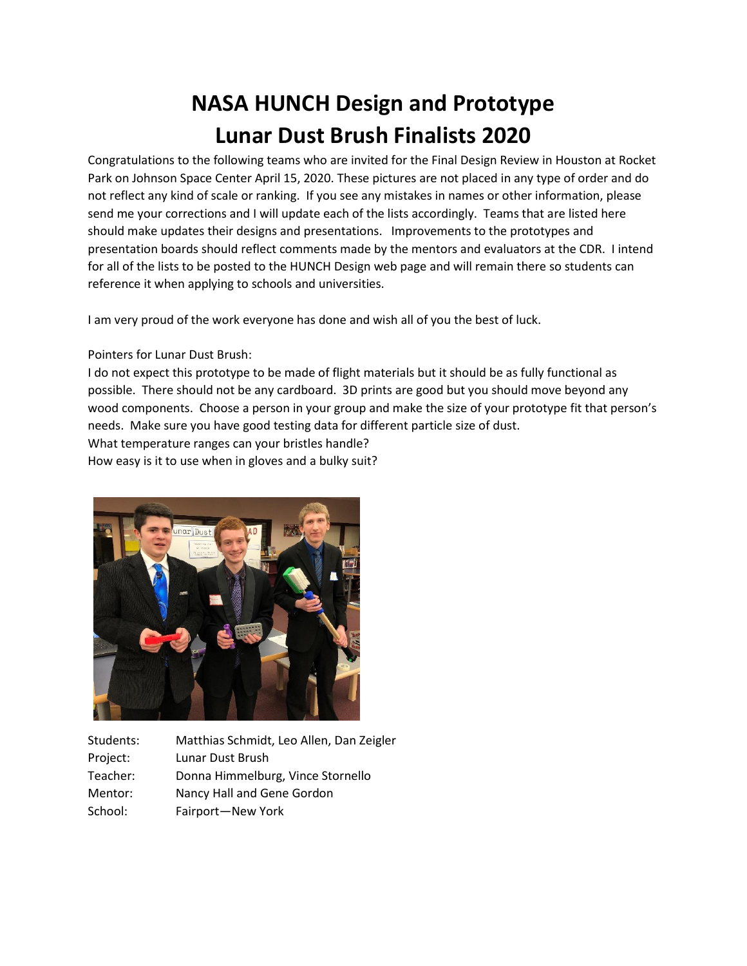## **NASA HUNCH Design and Prototype Lunar Dust Brush Finalists 2020**

Congratulations to the following teams who are invited for the Final Design Review in Houston at Rocket Park on Johnson Space Center April 15, 2020. These pictures are not placed in any type of order and do not reflect any kind of scale or ranking. If you see any mistakes in names or other information, please send me your corrections and I will update each of the lists accordingly. Teams that are listed here should make updates their designs and presentations. Improvements to the prototypes and presentation boards should reflect comments made by the mentors and evaluators at the CDR. I intend for all of the lists to be posted to the HUNCH Design web page and will remain there so students can reference it when applying to schools and universities.

I am very proud of the work everyone has done and wish all of you the best of luck.

Pointers for Lunar Dust Brush:

I do not expect this prototype to be made of flight materials but it should be as fully functional as possible. There should not be any cardboard. 3D prints are good but you should move beyond any wood components. Choose a person in your group and make the size of your prototype fit that person's needs. Make sure you have good testing data for different particle size of dust.

What temperature ranges can your bristles handle?

How easy is it to use when in gloves and a bulky suit?



Students: Matthias Schmidt, Leo Allen, Dan Zeigler Project: Lunar Dust Brush Teacher: Donna Himmelburg, Vince Stornello Mentor: Nancy Hall and Gene Gordon School: Fairport—New York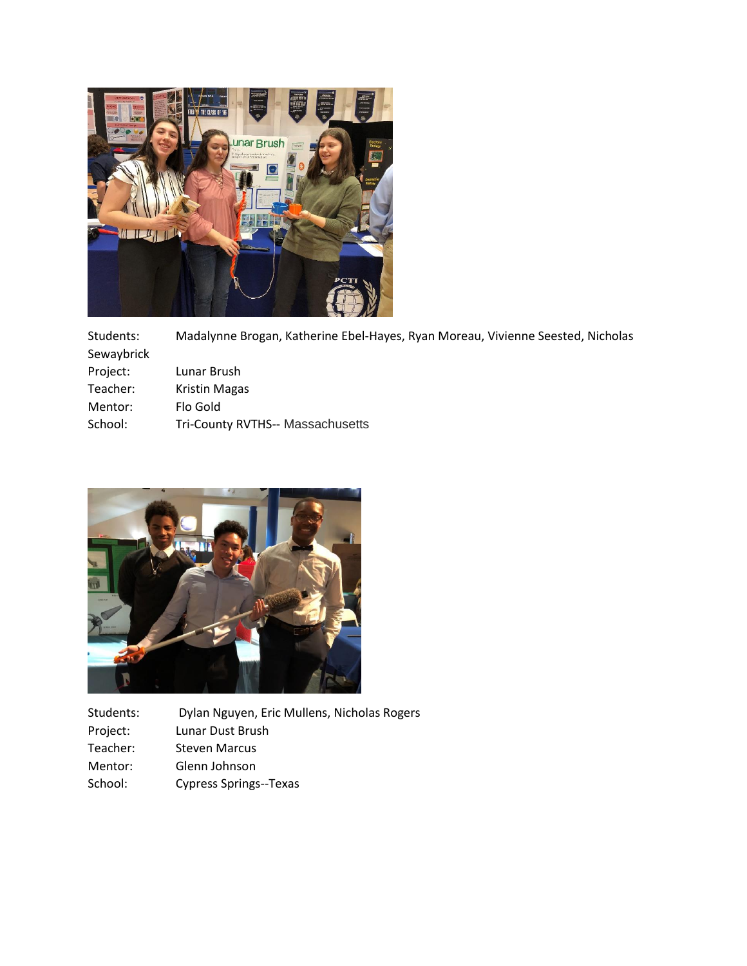

Students: Madalynne Brogan, Katherine Ebel-Hayes, Ryan Moreau, Vivienne Seested, Nicholas Sewaybrick Project: Lunar Brush Teacher: Kristin Magas Mentor: Flo Gold School: Tri-County RVTHS-- Massachusetts



| Students: | Dylan Nguyen, Eric Mullens, Nicholas Rogers |
|-----------|---------------------------------------------|
| Project:  | Lunar Dust Brush                            |
| Teacher:  | <b>Steven Marcus</b>                        |
| Mentor:   | Glenn Johnson                               |
| School:   | <b>Cypress Springs--Texas</b>               |